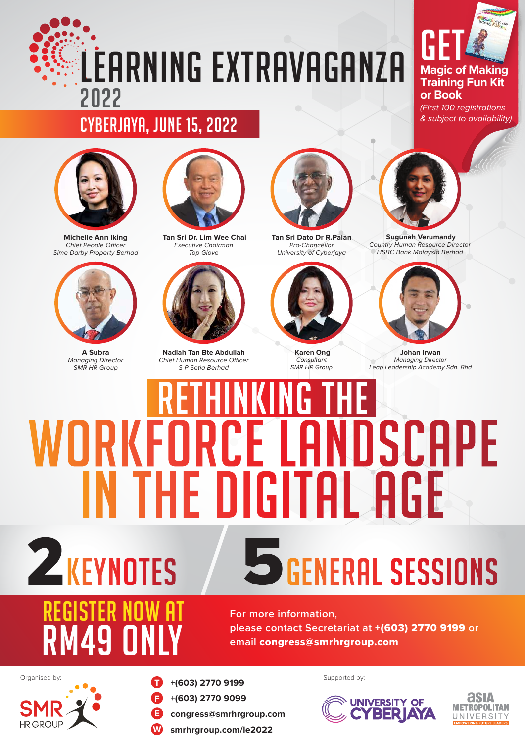## LEARNING EXTRAVAGANZA 2022

## **Magic of Making Training Fun Kit or Book** GE

*(First 100 registrations & subject to availability)*

#### Cyberjaya, June 15, 2022



**Michelle Ann Iking Chief People Officer** *Sime Darby Property Berhad*



**A Subra** *Managing Director SMR HR Group*

REGISTER NOW AT



**Tan Sri Dr. Lim Wee Chai** *Executive Chairman Top Glove*



**Nadiah Tan Bte Abdullah Chief Human Resource Officer** *S P Setia Berhad*



**Tan Sri Dato Dr R.Palan** *Pro-Chancellor University of Cyberjaya*



 **Karen Ong** *Consultant SMR HR Group*



 **Sugunah Verumandy** *Country Human Resource Director HSBC Bank Malaysia Berhad*



**Johan Irwan** *Managing Director Leap Leadership Academy Sdn. Bhd*

## LANDSCAPE WORKFOR Ľ FI IN THE DIGITAL AGE **Z**KEYNOTES **SGENERAL SESSIONS**





Organised by: Supported by: Supported by: Supported by:

- **F +(603) 2770 9099**
- **E congress@smrhrgroup.com**
- **W [smrhrgroup.com/le2022](http://smrhrgroup.com/le2022)**



**asia** 

**METROPOLITAN** UNIVERSITY